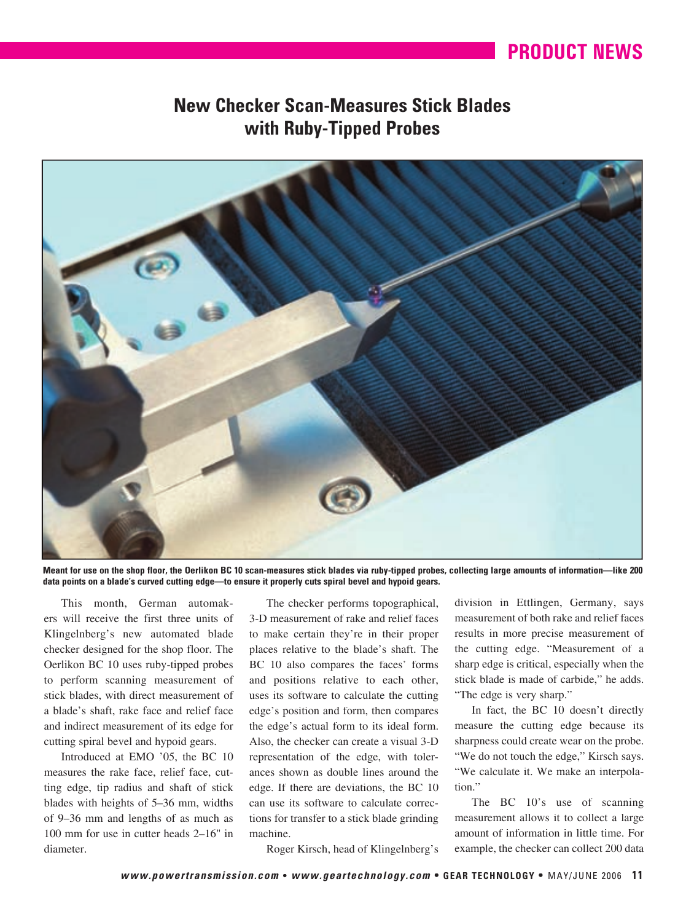## **PRODUCT NEWS PRODUCT NEWS**

## **New Checker Scan-Measures Stick Blades with Ruby-Tipped Probes**



**Meant for use on the shop floor, the Oerlikon BC 10 scan-measures stick blades via ruby-tipped probes, collecting large amounts of information—like 200 data points on a blade's curved cutting edge—to ensure it properly cuts spiral bevel and hypoid gears.**

This month, German automakers will receive the first three units of Klingelnberg's new automated blade checker designed for the shop floor. The Oerlikon BC 10 uses ruby-tipped probes to perform scanning measurement of stick blades, with direct measurement of a blade's shaft, rake face and relief face and indirect measurement of its edge for cutting spiral bevel and hypoid gears.

Introduced at EMO '05, the BC 10 measures the rake face, relief face, cutting edge, tip radius and shaft of stick blades with heights of 5–36 mm, widths of 9–36 mm and lengths of as much as 100 mm for use in cutter heads 2–16" in diameter.

The checker performs topographical, 3-D measurement of rake and relief faces to make certain they're in their proper places relative to the blade's shaft. The BC 10 also compares the faces' forms and positions relative to each other, uses its software to calculate the cutting edge's position and form, then compares the edge's actual form to its ideal form. Also, the checker can create a visual 3-D representation of the edge, with tolerances shown as double lines around the edge. If there are deviations, the BC 10 can use its software to calculate corrections for transfer to a stick blade grinding machine.

division in Ettlingen, Germany, says measurement of both rake and relief faces results in more precise measurement of the cutting edge. "Measurement of a sharp edge is critical, especially when the stick blade is made of carbide," he adds. "The edge is very sharp."

In fact, the BC 10 doesn't directly measure the cutting edge because its sharpness could create wear on the probe. "We do not touch the edge," Kirsch says. "We calculate it. We make an interpolation."

The BC 10's use of scanning measurement allows it to collect a large amount of information in little time. For example, the checker can collect 200 data

Roger Kirsch, head of Klingelnberg's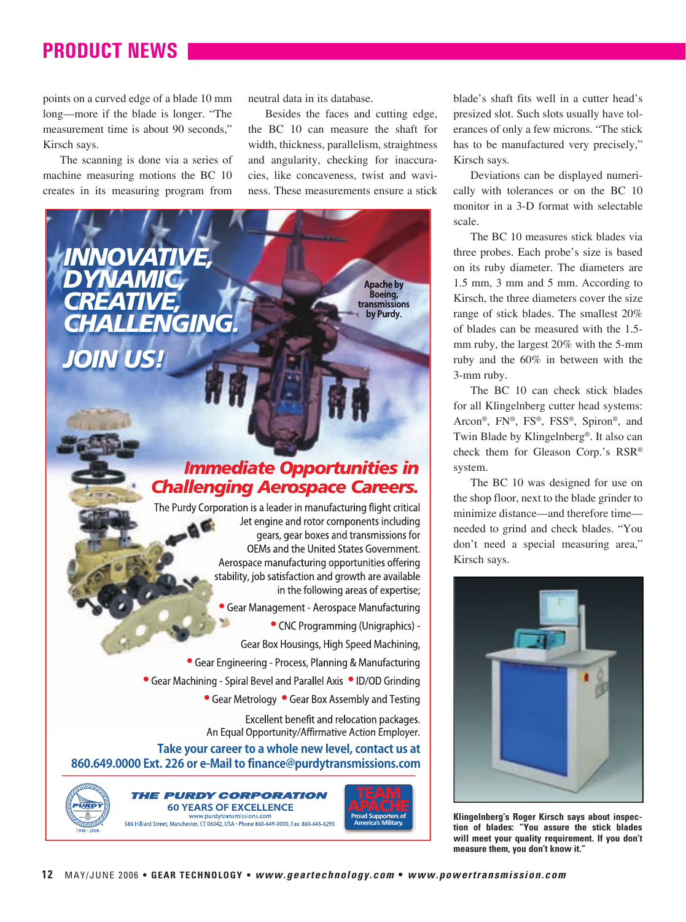## **PRODUCT NEWS PRODUCT NEWS**

points on a curved edge of a blade 10 mm long—more if the blade is longer. "The measurement time is about 90 seconds," Kirsch says.

The scanning is done via a series of machine measuring motions the BC 10 creates in its measuring program from neutral data in its database.

Besides the faces and cutting edge, the BC 10 can measure the shaft for width, thickness, parallelism, straightness and angularity, checking for inaccuracies, like concaveness, twist and waviness. These measurements ensure a stick



blade's shaft fits well in a cutter head's presized slot. Such slots usually have tolerances of only a few microns. "The stick has to be manufactured very precisely," Kirsch says.

Deviations can be displayed numerically with tolerances or on the BC 10 monitor in a 3-D format with selectable scale.

The BC 10 measures stick blades via three probes. Each probe's size is based on its ruby diameter. The diameters are 1.5 mm, 3 mm and 5 mm. According to Kirsch, the three diameters cover the size range of stick blades. The smallest 20% of blades can be measured with the 1.5 mm ruby, the largest 20% with the 5-mm ruby and the 60% in between with the 3-mm ruby.

The BC 10 can check stick blades for all Klingelnberg cutter head systems: Arcon®, FN®, FS®, FSS®, Spiron®, and Twin Blade by Klingelnberg®. It also can check them for Gleason Corp.'s RSR® system.

The BC 10 was designed for use on the shop floor, next to the blade grinder to minimize distance—and therefore time needed to grind and check blades. "You don't need a special measuring area," Kirsch says.



**Klingelnberg's Roger Kirsch says about inspection of blades: "You assure the stick blades will meet your quality requirement. If you don't measure them, you don't know it."**